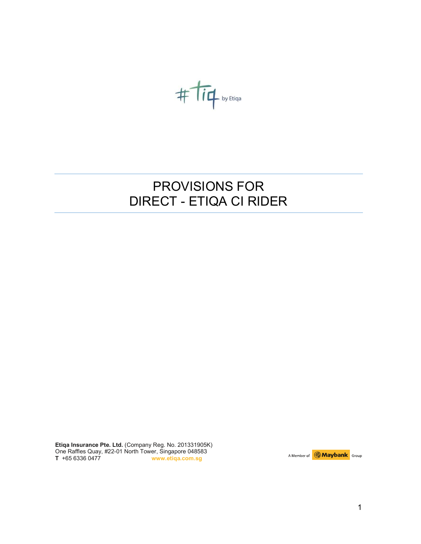$$
\#\dot{\mathsf{T}\mathsf{i}\mathsf{q}}\textsubscript{byEtiga}
$$

# PROVISIONS FOR DIRECT - ETIQA CI RIDER

Etiqa Insurance Pte. Ltd. (Company Reg. No. 201331905K) One Raffles Quay, #22-01 North Tower, Singapore 048583 T +65 6336 0477 www.etiqa.com.sg

A Member of **Maybank** Group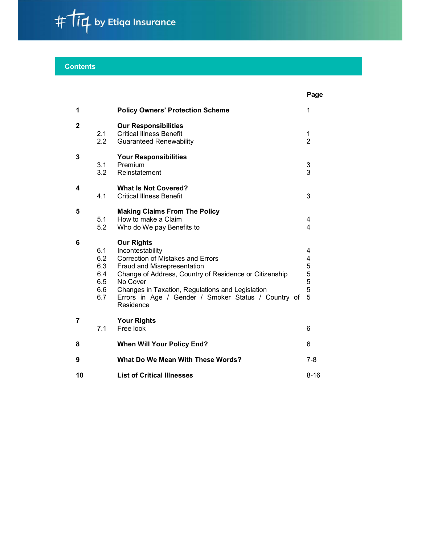

# **Contents**

|              |                                               |                                                                                                                                                                                                                                                                                                                | Page                            |
|--------------|-----------------------------------------------|----------------------------------------------------------------------------------------------------------------------------------------------------------------------------------------------------------------------------------------------------------------------------------------------------------------|---------------------------------|
| 1            |                                               | <b>Policy Owners' Protection Scheme</b>                                                                                                                                                                                                                                                                        | 1                               |
| $\mathbf{2}$ | 2.1<br>2.2                                    | <b>Our Responsibilities</b><br><b>Critical Illness Benefit</b><br><b>Guaranteed Renewability</b>                                                                                                                                                                                                               | 1<br>$\overline{2}$             |
| 3            | 3.1<br>3.2                                    | <b>Your Responsibilities</b><br>Premium<br>Reinstatement                                                                                                                                                                                                                                                       | $\ensuremath{\mathsf{3}}$<br>3  |
| 4            | 4.1                                           | <b>What Is Not Covered?</b><br><b>Critical Illness Benefit</b>                                                                                                                                                                                                                                                 | $\mathbf{3}$                    |
| 5            | 5.1<br>5.2                                    | <b>Making Claims From The Policy</b><br>How to make a Claim<br>Who do We pay Benefits to                                                                                                                                                                                                                       | 4<br>$\overline{4}$             |
| 6            | 6.1<br>6.2<br>6.3<br>6.4<br>6.5<br>6.6<br>6.7 | <b>Our Rights</b><br>Incontestability<br><b>Correction of Mistakes and Errors</b><br>Fraud and Misrepresentation<br>Change of Address, Country of Residence or Citizenship<br>No Cover<br>Changes in Taxation, Regulations and Legislation<br>Errors in Age / Gender / Smoker Status / Country of<br>Residence | 4<br>4<br>5<br>5<br>5<br>5<br>5 |
| 7            | 7.1                                           | <b>Your Rights</b><br>Free look                                                                                                                                                                                                                                                                                | 6                               |
| 8            |                                               | <b>When Will Your Policy End?</b>                                                                                                                                                                                                                                                                              | 6                               |
| 9            |                                               | What Do We Mean With These Words?                                                                                                                                                                                                                                                                              | $7 - 8$                         |
| 10           |                                               | <b>List of Critical Illnesses</b>                                                                                                                                                                                                                                                                              | $8 - 16$                        |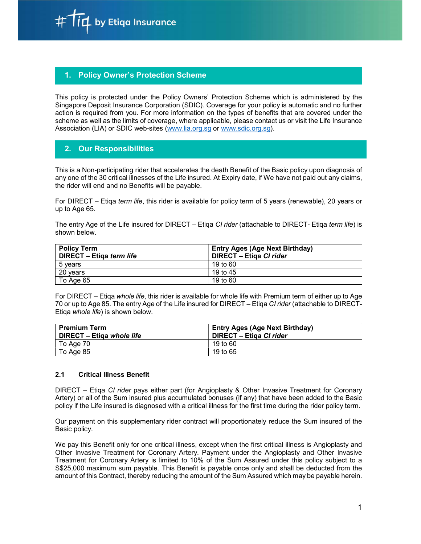$i\boldsymbol{\not}$  by Etiqa Insurance

# **Policy Owner's Protection Scheme**

This policy is protected under the Policy Owners' Protection Scheme which is administered by the Singapore Deposit Insurance Corporation (SDIC). Coverage for your policy is automatic and no further action is required from you. For more information on the types of benefits that are covered under the scheme as well as the limits of coverage, where applicable, please contact us or visit the Life Insurance Association (LIA) or SDIC web-sites (www.lia.org.sg or www.sdic.org.sg).

# 2. Our Responsibilities

This is a Non-participating rider that accelerates the death Benefit of the Basic policy upon diagnosis of any one of the 30 critical illnesses of the Life insured. At Expiry date, if We have not paid out any claims, the rider will end and no Benefits will be payable.

For DIRECT – Etiqa term life, this rider is available for policy term of 5 years (renewable), 20 years or up to Age 65.

The entry Age of the Life insured for DIRECT – Etiga CI rider (attachable to DIRECT- Etiga term life) is shown below.

| <b>Policy Term</b>       | <b>Entry Ages (Age Next Birthday)</b> |  |
|--------------------------|---------------------------------------|--|
| DIRECT - Etiqa term life | <b>DIRECT - Etiga CI rider</b>        |  |
| 5 vears                  | 19 to 60                              |  |
| 20 years                 | 19 to 45                              |  |
| To Age 65                | 19 to 60                              |  |

For DIRECT – Etiqa whole life, this rider is available for whole life with Premium term of either up to Age 70 or up to Age 85. The entry Age of the Life insured for DIRECT – Etiqa CI rider (attachable to DIRECT-Etiqa whole life) is shown below.

| <b>Premium Term</b><br><b>DIRECT - Etiga whole life</b> | <b>Entry Ages (Age Next Birthday)</b><br>DIRECT - Etiga CI rider |
|---------------------------------------------------------|------------------------------------------------------------------|
| To Age 70                                               | 19 to 60                                                         |
| To Age 85                                               | 19 to 65                                                         |

# 2.1 Critical Illness Benefit

DIRECT – Etiqa CI rider pays either part (for Angioplasty & Other Invasive Treatment for Coronary Artery) or all of the Sum insured plus accumulated bonuses (if any) that have been added to the Basic policy if the Life insured is diagnosed with a critical illness for the first time during the rider policy term.

Our payment on this supplementary rider contract will proportionately reduce the Sum insured of the Basic policy.

We pay this Benefit only for one critical illness, except when the first critical illness is Angioplasty and Other Invasive Treatment for Coronary Artery. Payment under the Angioplasty and Other Invasive Treatment for Coronary Artery is limited to 10% of the Sum Assured under this policy subject to a S\$25,000 maximum sum payable. This Benefit is payable once only and shall be deducted from the amount of this Contract, thereby reducing the amount of the Sum Assured which may be payable herein.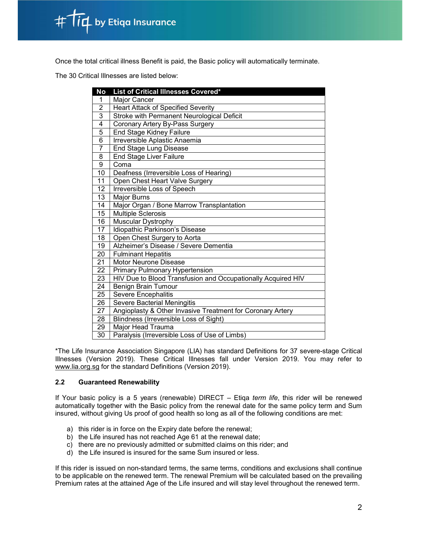

Once the total critical illness Benefit is paid, the Basic policy will automatically terminate.

The 30 Critical Illnesses are listed below:

| No              | List of Critical Illnesses Covered*                          |  |  |
|-----------------|--------------------------------------------------------------|--|--|
| 1               | Major Cancer                                                 |  |  |
| $\overline{2}$  | Heart Attack of Specified Severity                           |  |  |
| 3               | Stroke with Permanent Neurological Deficit                   |  |  |
| 4               | Coronary Artery By-Pass Surgery                              |  |  |
| 5               | End Stage Kidney Failure                                     |  |  |
| $\overline{6}$  | Irreversible Aplastic Anaemia                                |  |  |
| $\overline{7}$  | End Stage Lung Disease                                       |  |  |
| 8               | <b>End Stage Liver Failure</b>                               |  |  |
| 9               | Coma                                                         |  |  |
| 10              | Deafness (Irreversible Loss of Hearing)                      |  |  |
| 11              | Open Chest Heart Valve Surgery                               |  |  |
| 12              | <b>Irreversible Loss of Speech</b>                           |  |  |
| 13              | <b>Major Burns</b>                                           |  |  |
| 14              | Major Organ / Bone Marrow Transplantation                    |  |  |
| 15              | <b>Multiple Sclerosis</b>                                    |  |  |
| 16              | Muscular Dystrophy                                           |  |  |
| 17              | Idiopathic Parkinson's Disease                               |  |  |
| $\overline{18}$ | Open Chest Surgery to Aorta                                  |  |  |
| 19              | Alzheimer's Disease / Severe Dementia                        |  |  |
| 20              | <b>Fulminant Hepatitis</b>                                   |  |  |
| 21              | Motor Neurone Disease                                        |  |  |
| 22              | Primary Pulmonary Hypertension                               |  |  |
| 23              | HIV Due to Blood Transfusion and Occupationally Acquired HIV |  |  |
| 24              | Benign Brain Tumour                                          |  |  |
| 25              | Severe Encephalitis                                          |  |  |
| 26              | Severe Bacterial Meningitis                                  |  |  |
| 27              | Angioplasty & Other Invasive Treatment for Coronary Artery   |  |  |
| 28              | Blindness (Irreversible Loss of Sight)                       |  |  |
| 29              | Major Head Trauma                                            |  |  |
| 30              | Paralysis (Irreversible Loss of Use of Limbs)                |  |  |

\*The Life Insurance Association Singapore (LIA) has standard Definitions for 37 severe-stage Critical Illnesses (Version 2019). These Critical Illnesses fall under Version 2019. You may refer to www.lia.org.sg for the standard Definitions (Version 2019).

# 2.2 Guaranteed Renewability

If Your basic policy is a 5 years (renewable) DIRECT – Etiga *term life*, this rider will be renewed automatically together with the Basic policy from the renewal date for the same policy term and Sum insured, without giving Us proof of good health so long as all of the following conditions are met:

- a) this rider is in force on the Expiry date before the renewal;
- b) the Life insured has not reached Age 61 at the renewal date;
- c) there are no previously admitted or submitted claims on this rider; and
- d) the Life insured is insured for the same Sum insured or less.

If this rider is issued on non-standard terms, the same terms, conditions and exclusions shall continue to be applicable on the renewed term. The renewal Premium will be calculated based on the prevailing Premium rates at the attained Age of the Life insured and will stay level throughout the renewed term.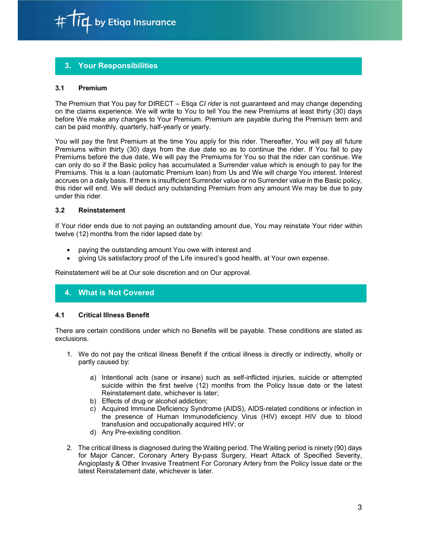

# 3. Your Responsibilities

# 3.1 Premium

The Premium that You pay for DIRECT – Etiqa CI rider is not guaranteed and may change depending on the claims experience. We will write to You to tell You the new Premiums at least thirty (30) days before We make any changes to Your Premium. Premium are payable during the Premium term and can be paid monthly, quarterly, half-yearly or yearly.

You will pay the first Premium at the time You apply for this rider. Thereafter, You will pay all future Premiums within thirty (30) days from the due date so as to continue the rider. If You fail to pay Premiums before the due date, We will pay the Premiums for You so that the rider can continue. We can only do so if the Basic policy has accumulated a Surrender value which is enough to pay for the Premiums. This is a loan (automatic Premium loan) from Us and We will charge You interest. Interest accrues on a daily basis. If there is insufficient Surrender value or no Surrender value in the Basic policy, this rider will end. We will deduct any outstanding Premium from any amount We may be due to pay under this rider.

# 3.2 Reinstatement

If Your rider ends due to not paying an outstanding amount due, You may reinstate Your rider within twelve (12) months from the rider lapsed date by:

- paying the outstanding amount You owe with interest and
- giving Us satisfactory proof of the Life insured's good health, at Your own expense.

Reinstatement will be at Our sole discretion and on Our approval.

# 4. What is Not Covered

#### 4.1 Critical Illness Benefit

There are certain conditions under which no Benefits will be payable. These conditions are stated as exclusions.

- 1. We do not pay the critical illness Benefit if the critical illness is directly or indirectly, wholly or partly caused by:
	- a) Intentional acts (sane or insane) such as self-inflicted injuries, suicide or attempted suicide within the first twelve (12) months from the Policy Issue date or the latest Reinstatement date, whichever is later;
	- b) Effects of drug or alcohol addiction;
	- c) Acquired Immune Deficiency Syndrome (AIDS), AIDS-related conditions or infection in the presence of Human Immunodeficiency Virus (HIV) except HIV due to blood transfusion and occupationally acquired HIV; or
	- d) Any Pre-existing condition.
- 2. The critical illness is diagnosed during the Waiting period. The Waiting period is ninety (90) days for Major Cancer, Coronary Artery By-pass Surgery, Heart Attack of Specified Severity, Angioplasty & Other Invasive Treatment For Coronary Artery from the Policy Issue date or the latest Reinstatement date, whichever is later.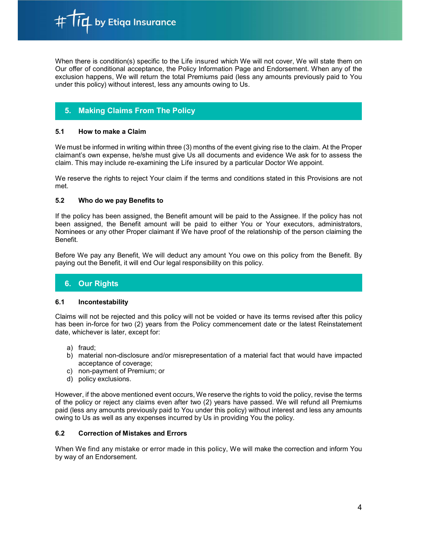$\boldsymbol{\mathsf{I}}$  by Etiqa Insurance

When there is condition(s) specific to the Life insured which We will not cover, We will state them on Our offer of conditional acceptance, the Policy Information Page and Endorsement. When any of the exclusion happens, We will return the total Premiums paid (less any amounts previously paid to You under this policy) without interest, less any amounts owing to Us.

# 5. Making Claims From The Policy

# 5.1 How to make a Claim

We must be informed in writing within three (3) months of the event giving rise to the claim. At the Proper claimant's own expense, he/she must give Us all documents and evidence We ask for to assess the claim. This may include re-examining the Life insured by a particular Doctor We appoint.

We reserve the rights to reject Your claim if the terms and conditions stated in this Provisions are not met.

# 5.2 Who do we pay Benefits to

If the policy has been assigned, the Benefit amount will be paid to the Assignee. If the policy has not been assigned, the Benefit amount will be paid to either You or Your executors, administrators, Nominees or any other Proper claimant if We have proof of the relationship of the person claiming the Benefit.

Before We pay any Benefit, We will deduct any amount You owe on this policy from the Benefit. By paying out the Benefit, it will end Our legal responsibility on this policy.

# 6. Our Rights

# 6.1 Incontestability

Claims will not be rejected and this policy will not be voided or have its terms revised after this policy has been in-force for two (2) years from the Policy commencement date or the latest Reinstatement date, whichever is later, except for:

- a) fraud;
- b) material non-disclosure and/or misrepresentation of a material fact that would have impacted acceptance of coverage;
- c) non-payment of Premium; or
- d) policy exclusions.

However, if the above mentioned event occurs, We reserve the rights to void the policy, revise the terms of the policy or reject any claims even after two (2) years have passed. We will refund all Premiums paid (less any amounts previously paid to You under this policy) without interest and less any amounts owing to Us as well as any expenses incurred by Us in providing You the policy.

#### 6.2 Correction of Mistakes and Errors

When We find any mistake or error made in this policy, We will make the correction and inform You by way of an Endorsement.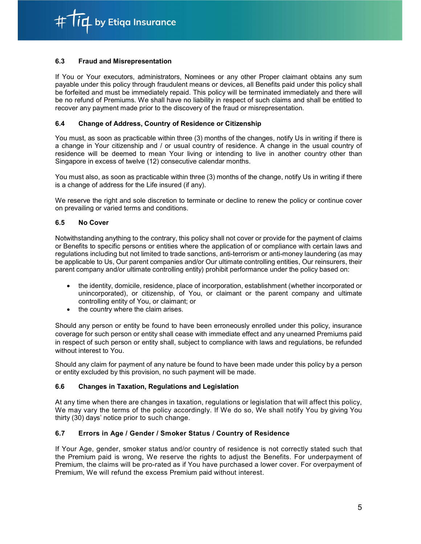id by Etiqa Insurance

# 6.3 Fraud and Misrepresentation

If You or Your executors, administrators, Nominees or any other Proper claimant obtains any sum payable under this policy through fraudulent means or devices, all Benefits paid under this policy shall be forfeited and must be immediately repaid. This policy will be terminated immediately and there will be no refund of Premiums. We shall have no liability in respect of such claims and shall be entitled to recover any payment made prior to the discovery of the fraud or misrepresentation.

# 6.4 Change of Address, Country of Residence or Citizenship

You must, as soon as practicable within three (3) months of the changes, notify Us in writing if there is a change in Your citizenship and / or usual country of residence. A change in the usual country of residence will be deemed to mean Your living or intending to live in another country other than Singapore in excess of twelve (12) consecutive calendar months.

You must also, as soon as practicable within three (3) months of the change, notify Us in writing if there is a change of address for the Life insured (if any).

We reserve the right and sole discretion to terminate or decline to renew the policy or continue cover on prevailing or varied terms and conditions.

# 6.5 No Cover

Notwithstanding anything to the contrary, this policy shall not cover or provide for the payment of claims or Benefits to specific persons or entities where the application of or compliance with certain laws and regulations including but not limited to trade sanctions, anti-terrorism or anti-money laundering (as may be applicable to Us, Our parent companies and/or Our ultimate controlling entities, Our reinsurers, their parent company and/or ultimate controlling entity) prohibit performance under the policy based on:

- the identity, domicile, residence, place of incorporation, establishment (whether incorporated or unincorporated), or citizenship, of You, or claimant or the parent company and ultimate controlling entity of You, or claimant; or
- the country where the claim arises.

Should any person or entity be found to have been erroneously enrolled under this policy, insurance coverage for such person or entity shall cease with immediate effect and any unearned Premiums paid in respect of such person or entity shall, subject to compliance with laws and regulations, be refunded without interest to You.

Should any claim for payment of any nature be found to have been made under this policy by a person or entity excluded by this provision, no such payment will be made.

# 6.6 Changes in Taxation, Regulations and Legislation

At any time when there are changes in taxation, regulations or legislation that will affect this policy, We may vary the terms of the policy accordingly. If We do so, We shall notify You by giving You thirty (30) days' notice prior to such change.

# 6.7 Errors in Age / Gender / Smoker Status / Country of Residence

If Your Age, gender, smoker status and/or country of residence is not correctly stated such that the Premium paid is wrong, We reserve the rights to adjust the Benefits. For underpayment of Premium, the claims will be pro-rated as if You have purchased a lower cover. For overpayment of Premium, We will refund the excess Premium paid without interest.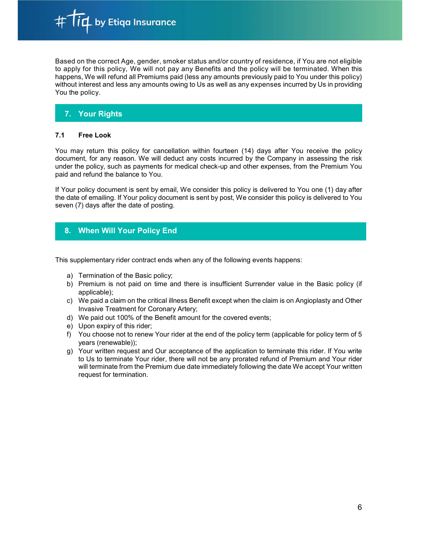Based on the correct Age, gender, smoker status and/or country of residence, if You are not eligible to apply for this policy, We will not pay any Benefits and the policy will be terminated. When this happens, We will refund all Premiums paid (less any amounts previously paid to You under this policy) without interest and less any amounts owing to Us as well as any expenses incurred by Us in providing You the policy.

# 7. Your Rights

# 7.1 Free Look

You may return this policy for cancellation within fourteen (14) days after You receive the policy document, for any reason. We will deduct any costs incurred by the Company in assessing the risk under the policy, such as payments for medical check-up and other expenses, from the Premium You paid and refund the balance to You.

If Your policy document is sent by email, We consider this policy is delivered to You one (1) day after the date of emailing. If Your policy document is sent by post, We consider this policy is delivered to You seven (7) days after the date of posting.

# 8. When Will Your Policy End

This supplementary rider contract ends when any of the following events happens:

- a) Termination of the Basic policy;
- b) Premium is not paid on time and there is insufficient Surrender value in the Basic policy (if applicable);
- c) We paid a claim on the critical illness Benefit except when the claim is on Angioplasty and Other Invasive Treatment for Coronary Artery;
- d) We paid out 100% of the Benefit amount for the covered events;
- e) Upon expiry of this rider;
- f) You choose not to renew Your rider at the end of the policy term (applicable for policy term of 5 years (renewable));
- g) Your written request and Our acceptance of the application to terminate this rider. If You write to Us to terminate Your rider, there will not be any prorated refund of Premium and Your rider will terminate from the Premium due date immediately following the date We accept Your written request for termination.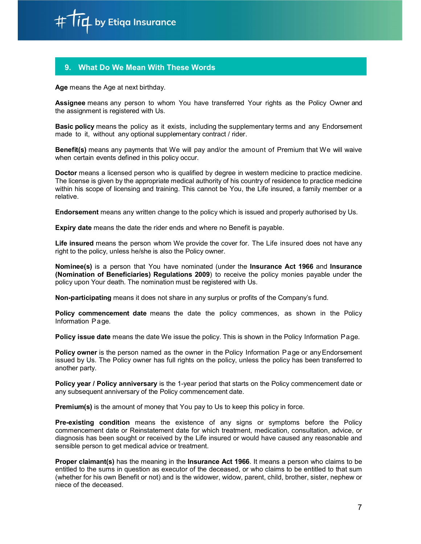

# 9. What Do We Mean With These Words

Age means the Age at next birthday.

Assignee means any person to whom You have transferred Your rights as the Policy Owner and the assignment is registered with Us.

Basic policy means the policy as it exists, including the supplementary terms and any Endorsement made to it, without any optional supplementary contract / rider.

Benefit(s) means any payments that We will pay and/or the amount of Premium that We will waive when certain events defined in this policy occur.

Doctor means a licensed person who is qualified by degree in western medicine to practice medicine. The license is given by the appropriate medical authority of his country of residence to practice medicine within his scope of licensing and training. This cannot be You, the Life insured, a family member or a relative.

Endorsement means any written change to the policy which is issued and properly authorised by Us.

Expiry date means the date the rider ends and where no Benefit is payable.

Life insured means the person whom We provide the cover for. The Life insured does not have any right to the policy, unless he/she is also the Policy owner.

Nominee(s) is a person that You have nominated (under the Insurance Act 1966 and Insurance (Nomination of Beneficiaries) Regulations 2009) to receive the policy monies payable under the policy upon Your death. The nomination must be registered with Us.

Non-participating means it does not share in any surplus or profits of the Company's fund.

Policy commencement date means the date the policy commences, as shown in the Policy Information Page.

Policy issue date means the date We issue the policy. This is shown in the Policy Information Page.

Policy owner is the person named as the owner in the Policy Information Page or any Endorsement issued by Us. The Policy owner has full rights on the policy, unless the policy has been transferred to another party.

**Policy year / Policy anniversary** is the 1-year period that starts on the Policy commencement date or any subsequent anniversary of the Policy commencement date.

Premium(s) is the amount of money that You pay to Us to keep this policy in force.

Pre-existing condition means the existence of any signs or symptoms before the Policy commencement date or Reinstatement date for which treatment, medication, consultation, advice, or diagnosis has been sought or received by the Life insured or would have caused any reasonable and sensible person to get medical advice or treatment.

Proper claimant(s) has the meaning in the Insurance Act 1966. It means a person who claims to be entitled to the sums in question as executor of the deceased, or who claims to be entitled to that sum (whether for his own Benefit or not) and is the widower, widow, parent, child, brother, sister, nephew or niece of the deceased.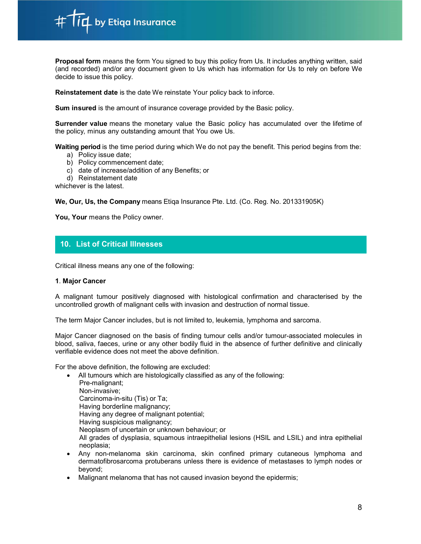

**Proposal form** means the form You signed to buy this policy from Us. It includes anything written, said (and recorded) and/or any document given to Us which has information for Us to rely on before We decide to issue this policy.

Reinstatement date is the date We reinstate Your policy back to inforce.

Sum insured is the amount of insurance coverage provided by the Basic policy.

Surrender value means the monetary value the Basic policy has accumulated over the lifetime of the policy, minus any outstanding amount that You owe Us.

Waiting period is the time period during which We do not pay the benefit. This period begins from the:

- a) Policy issue date;
- b) Policy commencement date;
- c) date of increase/addition of any Benefits; or
- d) Reinstatement date

whichever is the latest.

We, Our, Us, the Company means Etiqa Insurance Pte. Ltd. (Co. Reg. No. 201331905K)

You, Your means the Policy owner.

# 10. List of Critical Illnesses

Critical illness means any one of the following:

# 1. Major Cancer

A malignant tumour positively diagnosed with histological confirmation and characterised by the uncontrolled growth of malignant cells with invasion and destruction of normal tissue.

The term Major Cancer includes, but is not limited to, leukemia, lymphoma and sarcoma.

Major Cancer diagnosed on the basis of finding tumour cells and/or tumour-associated molecules in blood, saliva, faeces, urine or any other bodily fluid in the absence of further definitive and clinically verifiable evidence does not meet the above definition.

For the above definition, the following are excluded:

- All tumours which are histologically classified as any of the following: Pre-malignant; Non-invasive; Carcinoma-in-situ (Tis) or Ta; Having borderline malignancy; Having any degree of malignant potential; Having suspicious malignancy; Neoplasm of uncertain or unknown behaviour; or All grades of dysplasia, squamous intraepithelial lesions (HSIL and LSIL) and intra epithelial neoplasia; Any non-melanoma skin carcinoma, skin confined primary cutaneous lymphoma and
- dermatofibrosarcoma protuberans unless there is evidence of metastases to lymph nodes or beyond;
- Malignant melanoma that has not caused invasion beyond the epidermis;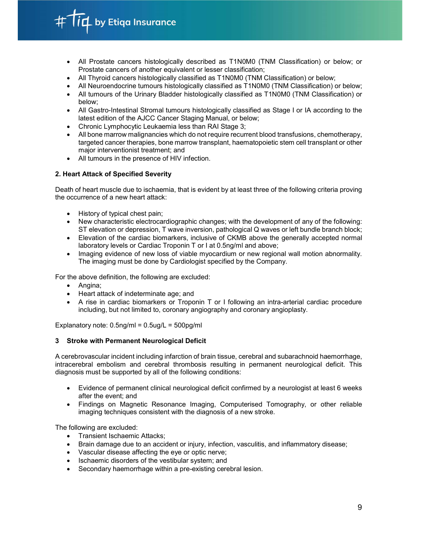$\overline{\mathfrak{l}}\mathfrak{L}$  by Etiqa Insurance

- All Prostate cancers histologically described as T1N0M0 (TNM Classification) or below; or Prostate cancers of another equivalent or lesser classification;
- All Thyroid cancers histologically classified as T1N0M0 (TNM Classification) or below;
- All Neuroendocrine tumours histologically classified as T1N0M0 (TNM Classification) or below;
- All tumours of the Urinary Bladder histologically classified as T1N0M0 (TNM Classification) or below;
- All Gastro-Intestinal Stromal tumours histologically classified as Stage I or IA according to the latest edition of the AJCC Cancer Staging Manual, or below;
- Chronic Lymphocytic Leukaemia less than RAI Stage 3;
- All bone marrow malignancies which do not require recurrent blood transfusions, chemotherapy, targeted cancer therapies, bone marrow transplant, haematopoietic stem cell transplant or other major interventionist treatment; and
- All tumours in the presence of HIV infection.

# 2. Heart Attack of Specified Severity

Death of heart muscle due to ischaemia, that is evident by at least three of the following criteria proving the occurrence of a new heart attack:

- History of typical chest pain;
- New characteristic electrocardiographic changes; with the development of any of the following: ST elevation or depression, T wave inversion, pathological Q waves or left bundle branch block;
- Elevation of the cardiac biomarkers, inclusive of CKMB above the generally accepted normal laboratory levels or Cardiac Troponin T or I at 0.5ng/ml and above;
- Imaging evidence of new loss of viable myocardium or new regional wall motion abnormality. The imaging must be done by Cardiologist specified by the Company.

For the above definition, the following are excluded:

- Angina;
- Heart attack of indeterminate age; and
- A rise in cardiac biomarkers or Troponin T or I following an intra-arterial cardiac procedure including, but not limited to, coronary angiography and coronary angioplasty.

Explanatory note:  $0.5$ ng/ml =  $0.5$ ug/L =  $500$ pg/ml

# 3 Stroke with Permanent Neurological Deficit

A cerebrovascular incident including infarction of brain tissue, cerebral and subarachnoid haemorrhage, intracerebral embolism and cerebral thrombosis resulting in permanent neurological deficit. This diagnosis must be supported by all of the following conditions:

- Evidence of permanent clinical neurological deficit confirmed by a neurologist at least 6 weeks after the event; and
- Findings on Magnetic Resonance Imaging, Computerised Tomography, or other reliable imaging techniques consistent with the diagnosis of a new stroke.

The following are excluded:

- Transient Ischaemic Attacks;
- Brain damage due to an accident or injury, infection, vasculitis, and inflammatory disease;
- Vascular disease affecting the eye or optic nerve;
- Ischaemic disorders of the vestibular system; and
- Secondary haemorrhage within a pre-existing cerebral lesion.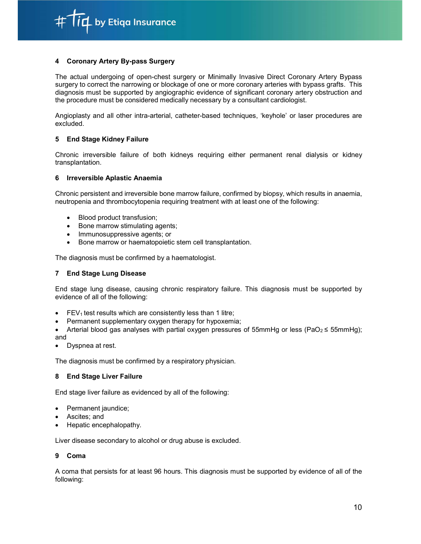$\overline{\mathfrak{l}}\mathfrak{L}$  by Etiqa Insurance

# 4 Coronary Artery By-pass Surgery

The actual undergoing of open-chest surgery or Minimally Invasive Direct Coronary Artery Bypass surgery to correct the narrowing or blockage of one or more coronary arteries with bypass grafts. This diagnosis must be supported by angiographic evidence of significant coronary artery obstruction and the procedure must be considered medically necessary by a consultant cardiologist.

Angioplasty and all other intra-arterial, catheter-based techniques, 'keyhole' or laser procedures are excluded.

#### 5 End Stage Kidney Failure

Chronic irreversible failure of both kidneys requiring either permanent renal dialysis or kidney transplantation.

#### 6 Irreversible Aplastic Anaemia

Chronic persistent and irreversible bone marrow failure, confirmed by biopsy, which results in anaemia, neutropenia and thrombocytopenia requiring treatment with at least one of the following:

- Blood product transfusion;
- Bone marrow stimulating agents;
- Immunosuppressive agents; or
- Bone marrow or haematopoietic stem cell transplantation.

The diagnosis must be confirmed by a haematologist.

### 7 End Stage Lung Disease

End stage lung disease, causing chronic respiratory failure. This diagnosis must be supported by evidence of all of the following:

- $\bullet$  FEV<sub>1</sub> test results which are consistently less than 1 litre;
- Permanent supplementary oxygen therapy for hypoxemia;
- Arterial blood gas analyses with partial oxygen pressures of 55mmHg or less (PaO<sub>2</sub>  $\leq$  55mmHg); and
- Dyspnea at rest.

The diagnosis must be confirmed by a respiratory physician.

#### 8 End Stage Liver Failure

End stage liver failure as evidenced by all of the following:

- Permanent jaundice;
- Ascites; and
- Hepatic encephalopathy.

Liver disease secondary to alcohol or drug abuse is excluded.

#### 9 Coma

A coma that persists for at least 96 hours. This diagnosis must be supported by evidence of all of the following: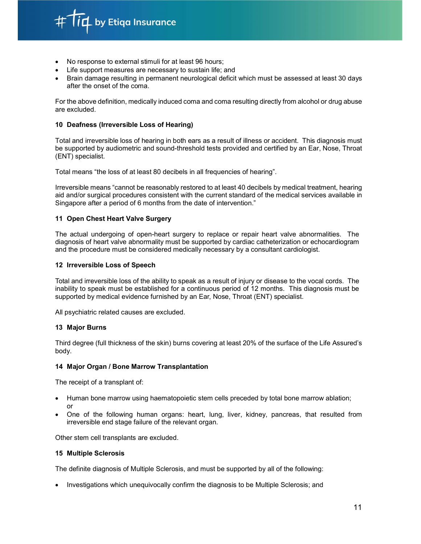

- No response to external stimuli for at least 96 hours;
- Life support measures are necessary to sustain life; and
- Brain damage resulting in permanent neurological deficit which must be assessed at least 30 days after the onset of the coma.

For the above definition, medically induced coma and coma resulting directly from alcohol or drug abuse are excluded.

### 10 Deafness (Irreversible Loss of Hearing)

Total and irreversible loss of hearing in both ears as a result of illness or accident. This diagnosis must be supported by audiometric and sound-threshold tests provided and certified by an Ear, Nose, Throat (ENT) specialist.

Total means "the loss of at least 80 decibels in all frequencies of hearing".

Irreversible means "cannot be reasonably restored to at least 40 decibels by medical treatment, hearing aid and/or surgical procedures consistent with the current standard of the medical services available in Singapore after a period of 6 months from the date of intervention."

#### 11 Open Chest Heart Valve Surgery

The actual undergoing of open-heart surgery to replace or repair heart valve abnormalities. The diagnosis of heart valve abnormality must be supported by cardiac catheterization or echocardiogram and the procedure must be considered medically necessary by a consultant cardiologist.

#### 12 Irreversible Loss of Speech

Total and irreversible loss of the ability to speak as a result of injury or disease to the vocal cords. The inability to speak must be established for a continuous period of 12 months. This diagnosis must be supported by medical evidence furnished by an Ear, Nose, Throat (ENT) specialist.

All psychiatric related causes are excluded.

# 13 Major Burns

Third degree (full thickness of the skin) burns covering at least 20% of the surface of the Life Assured's body.

#### 14 Major Organ / Bone Marrow Transplantation

The receipt of a transplant of:

- Human bone marrow using haematopoietic stem cells preceded by total bone marrow ablation; or
- One of the following human organs: heart, lung, liver, kidney, pancreas, that resulted from irreversible end stage failure of the relevant organ.

Other stem cell transplants are excluded.

#### 15 Multiple Sclerosis

The definite diagnosis of Multiple Sclerosis, and must be supported by all of the following:

Investigations which unequivocally confirm the diagnosis to be Multiple Sclerosis; and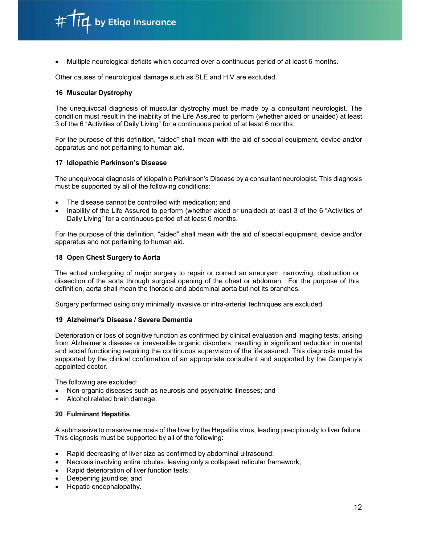Multiple neurological deficits which occurred over a continuous period of at least 6 months.

Other causes of neurological damage such as SLE and HIV are excluded.

### 16 Muscular Dystrophy

The unequivocal diagnosis of muscular dystrophy must be made by a consultant neurologist. The condition must result in the inability of the Life Assured to perform (whether aided or unaided) at least 3 of the 6 "Activities of Daily Living" for a continuous period of at least 6 months.

 For the purpose of this definition, "aided" shall mean with the aid of special equipment, device and/or apparatus and not pertaining to human aid.

#### 17 Idiopathic Parkinson's Disease

The unequivocal diagnosis of idiopathic Parkinson's Disease by a consultant neurologist. This diagnosis must be supported by all of the following conditions:

- The disease cannot be controlled with medication; and
- Inability of the Life Assured to perform (whether aided or unaided) at least 3 of the 6 "Activities of Daily Living" for a continuous period of at least 6 months.

For the purpose of this definition, "aided" shall mean with the aid of special equipment, device and/or apparatus and not pertaining to human aid.

#### 18 Open Chest Surgery to Aorta

The actual undergoing of major surgery to repair or correct an aneurysm, narrowing, obstruction or dissection of the aorta through surgical opening of the chest or abdomen. For the purpose of this definition, aorta shall mean the thoracic and abdominal aorta but not its branches.

Surgery performed using only minimally invasive or intra-arterial techniques are excluded.

#### 19 Alzheimer's Disease / Severe Dementia

Deterioration or loss of cognitive function as confirmed by clinical evaluation and imaging tests, arising from Alzheimer's disease or irreversible organic disorders, resulting in significant reduction in mental and social functioning requiring the continuous supervision of the life assured. This diagnosis must be supported by the clinical confirmation of an appropriate consultant and supported by the Company's appointed doctor.

The following are excluded:

- Non-organic diseases such as neurosis and psychiatric illnesses; and
- Alcohol related brain damage.

#### 20 Fulminant Hepatitis

A submassive to massive necrosis of the liver by the Hepatitis virus, leading precipitously to liver failure. This diagnosis must be supported by all of the following:

- Rapid decreasing of liver size as confirmed by abdominal ultrasound;
- Necrosis involving entire lobules, leaving only a collapsed reticular framework;
- Rapid deterioration of liver function tests;
- Deepening jaundice; and
- Hepatic encephalopathy.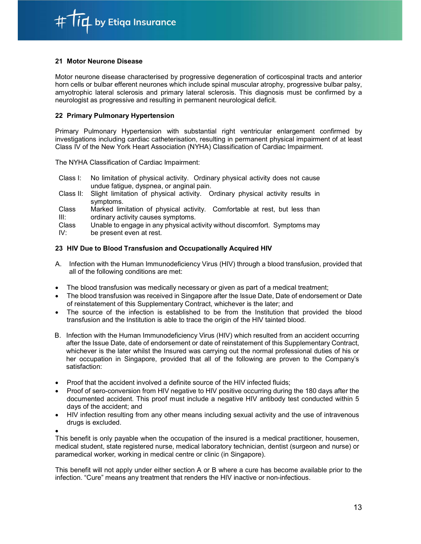

# 21 Motor Neurone Disease

Motor neurone disease characterised by progressive degeneration of corticospinal tracts and anterior horn cells or bulbar efferent neurones which include spinal muscular atrophy, progressive bulbar palsy, amyotrophic lateral sclerosis and primary lateral sclerosis. This diagnosis must be confirmed by a neurologist as progressive and resulting in permanent neurological deficit.

### 22 Primary Pulmonary Hypertension

Primary Pulmonary Hypertension with substantial right ventricular enlargement confirmed by investigations including cardiac catheterisation, resulting in permanent physical impairment of at least Class IV of the New York Heart Association (NYHA) Classification of Cardiac Impairment.

The NYHA Classification of Cardiac Impairment:

- Class I: No limitation of physical activity. Ordinary physical activity does not cause undue fatigue, dyspnea, or anginal pain.
- Class II: Slight limitation of physical activity. Ordinary physical activity results in symptoms.
- Class Marked limitation of physical activity. Comfortable at rest, but less than III: ordinary activity causes symptoms.

Class Unable to engage in any physical activity without discomfort. Symptoms may

IV: be present even at rest.

# 23 HIV Due to Blood Transfusion and Occupationally Acquired HIV

- A. Infection with the Human Immunodeficiency Virus (HIV) through a blood transfusion, provided that all of the following conditions are met:
- The blood transfusion was medically necessary or given as part of a medical treatment;
- The blood transfusion was received in Singapore after the Issue Date, Date of endorsement or Date of reinstatement of this Supplementary Contract, whichever is the later; and
- The source of the infection is established to be from the Institution that provided the blood transfusion and the Institution is able to trace the origin of the HIV tainted blood.
- B. Infection with the Human Immunodeficiency Virus (HIV) which resulted from an accident occurring after the Issue Date, date of endorsement or date of reinstatement of this Supplementary Contract, whichever is the later whilst the Insured was carrying out the normal professional duties of his or her occupation in Singapore, provided that all of the following are proven to the Company's satisfaction:
- Proof that the accident involved a definite source of the HIV infected fluids;
- Proof of sero-conversion from HIV negative to HIV positive occurring during the 180 days after the documented accident. This proof must include a negative HIV antibody test conducted within 5 days of the accident; and
- HIV infection resulting from any other means including sexual activity and the use of intravenous drugs is excluded.

 This benefit is only payable when the occupation of the insured is a medical practitioner, housemen, medical student, state registered nurse, medical laboratory technician, dentist (surgeon and nurse) or paramedical worker, working in medical centre or clinic (in Singapore).

This benefit will not apply under either section A or B where a cure has become available prior to the infection. "Cure" means any treatment that renders the HIV inactive or non-infectious.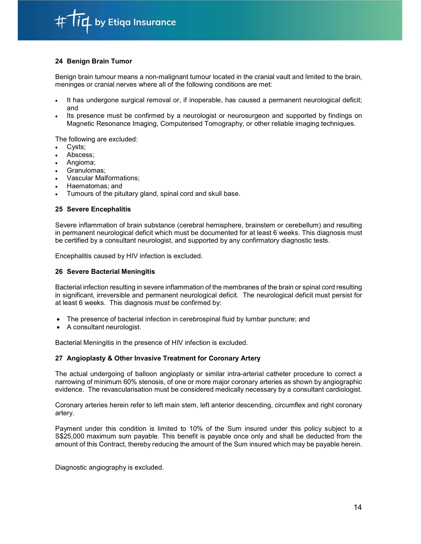

# 24 Benign Brain Tumor

Benign brain tumour means a non-malignant tumour located in the cranial vault and limited to the brain, meninges or cranial nerves where all of the following conditions are met:

- It has undergone surgical removal or, if inoperable, has caused a permanent neurological deficit; and
- Its presence must be confirmed by a neurologist or neurosurgeon and supported by findings on Magnetic Resonance Imaging, Computerised Tomography, or other reliable imaging techniques.

The following are excluded:

- Cysts;
- Abscess;
- Angioma;
- Granulomas;
- Vascular Malformations;
- Haematomas; and
- Tumours of the pituitary gland, spinal cord and skull base.

#### 25 Severe Encephalitis

Severe inflammation of brain substance (cerebral hemisphere, brainstem or cerebellum) and resulting in permanent neurological deficit which must be documented for at least 6 weeks. This diagnosis must be certified by a consultant neurologist, and supported by any confirmatory diagnostic tests.

Encephalitis caused by HIV infection is excluded.

#### 26 Severe Bacterial Meningitis

Bacterial infection resulting in severe inflammation of the membranes of the brain or spinal cord resulting in significant, irreversible and permanent neurological deficit. The neurological deficit must persist for at least 6 weeks. This diagnosis must be confirmed by:

- The presence of bacterial infection in cerebrospinal fluid by lumbar puncture; and
- A consultant neurologist.

Bacterial Meningitis in the presence of HIV infection is excluded.

# 27 Angioplasty & Other Invasive Treatment for Coronary Artery

The actual undergoing of balloon angioplasty or similar intra-arterial catheter procedure to correct a narrowing of minimum 60% stenosis, of one or more major coronary arteries as shown by angiographic evidence. The revascularisation must be considered medically necessary by a consultant cardiologist.

 Coronary arteries herein refer to left main stem, left anterior descending, circumflex and right coronary artery.

Payment under this condition is limited to 10% of the Sum insured under this policy subject to a S\$25,000 maximum sum payable. This benefit is payable once only and shall be deducted from the amount of this Contract, thereby reducing the amount of the Sum insured which may be payable herein.

Diagnostic angiography is excluded.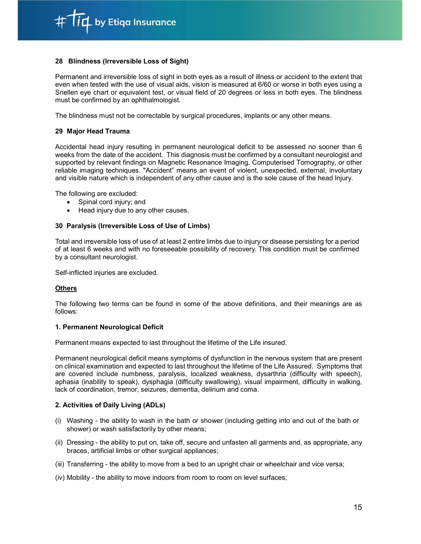$\overline{\mathfrak{l}}$  by Etiqa Insurance

#### 28 Blindness (Irreversible Loss of Sight)

Permanent and irreversible loss of sight in both eyes as a result of illness or accident to the extent that even when tested with the use of visual aids, vision is measured at 6/60 or worse in both eyes using a Snellen eye chart or equivalent test, or visual field of 20 degrees or less in both eyes. The blindness must be confirmed by an ophthalmologist.

The blindness must not be correctable by surgical procedures, implants or any other means.

# 29 Major Head Trauma

Accidental head injury resulting in permanent neurological deficit to be assessed no sooner than 6 weeks from the date of the accident. This diagnosis must be confirmed by a consultant neurologist and supported by relevant findings on Magnetic Resonance Imaging, Computerised Tomography, or other reliable imaging techniques. "Accident" means an event of violent, unexpected, external, involuntary and visible nature which is independent of any other cause and is the sole cause of the head Injury.

The following are excluded:

- Spinal cord injury; and
- Head injury due to any other causes.

#### 30 Paralysis (Irreversible Loss of Use of Limbs)

Total and irreversible loss of use of at least 2 entire limbs due to injury or disease persisting for a period of at least 6 weeks and with no foreseeable possibility of recovery. This condition must be confirmed by a consultant neurologist.

Self-inflicted injuries are excluded.

# **Others**

The following two terms can be found in some of the above definitions, and their meanings are as follows:

# 1. Permanent Neurological Deficit

Permanent means expected to last throughout the lifetime of the Life insured.

Permanent neurological deficit means symptoms of dysfunction in the nervous system that are present on clinical examination and expected to last throughout the lifetime of the Life Assured. Symptoms that are covered include numbness, paralysis, localized weakness, dysarthria (difficulty with speech), aphasia (inability to speak), dysphagia (difficulty swallowing), visual impairment, difficulty in walking, lack of coordination, tremor, seizures, dementia, delirium and coma.

#### 2. Activities of Daily Living (ADLs)

- (i) Washing the ability to wash in the bath or shower (including getting into and out of the bath or shower) or wash satisfactorily by other means;
- (ii) Dressing the ability to put on, take off, secure and unfasten all garments and, as appropriate, any braces, artificial limbs or other surgical appliances;
- (iii) Transferring the ability to move from a bed to an upright chair or wheelchair and vice versa;
- (iv) Mobility the ability to move indoors from room to room on level surfaces;